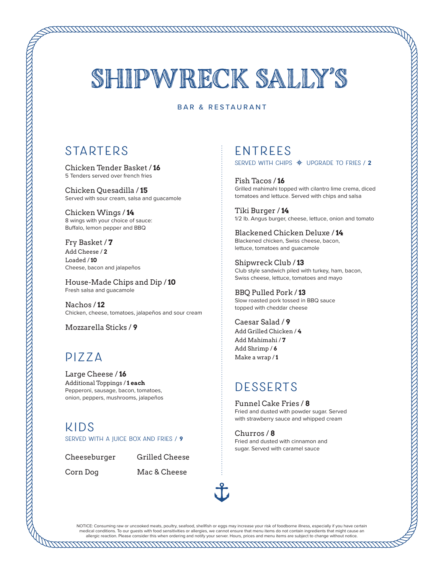# SHIPWRECK SALLY'S

*MAMAMAMAMAMAMAMAMAMAM* 

#### BAR & RESTAURANT

## **Starters**

Chicken Tender Basket / **16** 5 Tenders served over french fries

Chicken Quesadilla / **15** Served with sour cream, salsa and guacamole

Chicken Wings / **14** 8 wings with your choice of sauce: Buffalo, lemon pepper and BBQ

Fry Basket / **7** Add Cheese / **2**  Loaded / **10**  Cheese, bacon and jalapeños

House-Made Chips and Dip / **10** Fresh salsa and guacamole

Nachos / **12** Chicken, cheese, tomatoes, jalapeños and sour cream

Mozzarella Sticks / **9**

# **PIZZA**

Large Cheese / **16** Additional Toppings / **1 each** Pepperoni, sausage, bacon, tomatoes, onion, peppers, mushrooms, jalapeños

**KIDS Served with a juice box AND fries / 9**

Cheeseburger

Grilled Cheese

Corn Dog

Mac & Cheese

### **Entrees Served with chips** % **Upgrade to fries / <sup>2</sup>**

Fish Tacos / **16** Grilled mahimahi topped with cilantro lime crema, diced tomatoes and lettuce. Served with chips and salsa

Tiki Burger / **14** 1/2 lb. Angus burger, cheese, lettuce, onion and tomato

Blackened Chicken Deluxe / **14** Blackened chicken, Swiss cheese, bacon, lettuce, tomatoes and guacamole

Shipwreck Club / **13** Club style sandwich piled with turkey, ham, bacon, Swiss cheese, lettuce, tomatoes and mayo

BBQ Pulled Pork / **13** Slow roasted pork tossed in BBQ sauce topped with cheddar cheese

Caesar Salad / **9** Add Grilled Chicken / **4** Add Mahimahi / **7** Add Shrimp / **6** Make a wrap / **1**

# **Desserts**

Funnel Cake Fries / **8** Fried and dusted with powder sugar. Served with strawberry sauce and whipped cream

Churros / **8** Fried and dusted with cinnamon and sugar. Served with caramel sauce

NOTICE: Consuming raw or uncooked meats, poultry, seafood, shellfish or eggs may increase your risk of foodborne illness, especially if you have certain medical conditions. To our guests with food sensitivities or allergies, we cannot ensure that menu items do not contain ingredients that might cause an allergic reaction. Please consider this when ordering and notify your server. Hours, prices and menu items are subject to change without notice.

A MARTIN ANDRE STAND ANN AN DER HANDEL AN DER HANDEL AN DER HANDLIN AN DER HANDLIN AN DER HANDLIN AN DER HANDEL